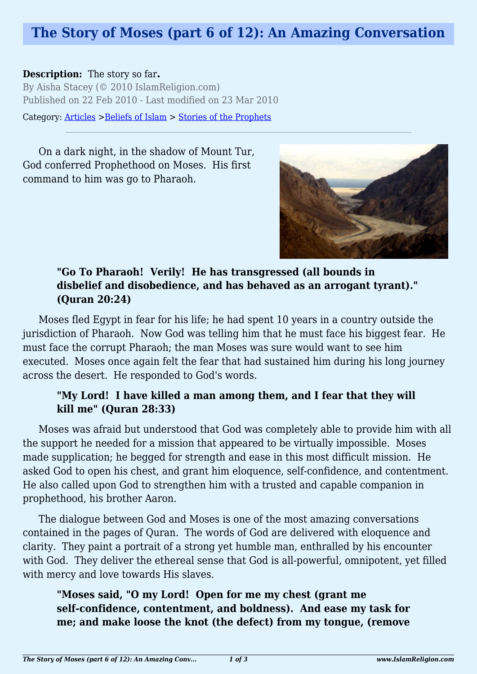## **The Story of Moses (part 6 of 12): An Amazing Conversation**

## **Description:** The story so far**.**

By Aisha Stacey (© 2010 IslamReligion.com) Published on 22 Feb 2010 - Last modified on 23 Mar 2010 Category: [Articles](http://www.islamreligion.com/articles/) >[Beliefs of Islam](http://www.islamreligion.com/category/48/) > [Stories of the Prophets](http://www.islamreligion.com/category/53/)

On a dark night, in the shadow of Mount Tur, God conferred Prophethood on Moses. His first command to him was go to Pharaoh.



## **"Go To Pharaoh! Verily! He has transgressed (all bounds in disbelief and disobedience, and has behaved as an arrogant tyrant)." (Quran 20:24)**

Moses fled Egypt in fear for his life; he had spent 10 years in a country outside the jurisdiction of Pharaoh. Now God was telling him that he must face his biggest fear. He must face the corrupt Pharaoh; the man Moses was sure would want to see him executed. Moses once again felt the fear that had sustained him during his long journey across the desert. He responded to God's words.

## **"My Lord! I have killed a man among them, and I fear that they will kill me" (Quran 28:33)**

Moses was afraid but understood that God was completely able to provide him with all the support he needed for a mission that appeared to be virtually impossible. Moses made supplication; he begged for strength and ease in this most difficult mission. He asked God to open his chest, and grant him eloquence, self-confidence, and contentment. He also called upon God to strengthen him with a trusted and capable companion in prophethood, his brother Aaron.

The dialogue between God and Moses is one of the most amazing conversations contained in the pages of Quran. The words of God are delivered with eloquence and clarity. They paint a portrait of a strong yet humble man, enthralled by his encounter with God. They deliver the ethereal sense that God is all-powerful, omnipotent, yet filled with mercy and love towards His slaves.

**"Moses said, "O my Lord! Open for me my chest (grant me self-confidence, contentment, and boldness). And ease my task for me; and make loose the knot (the defect) from my tongue, (remove**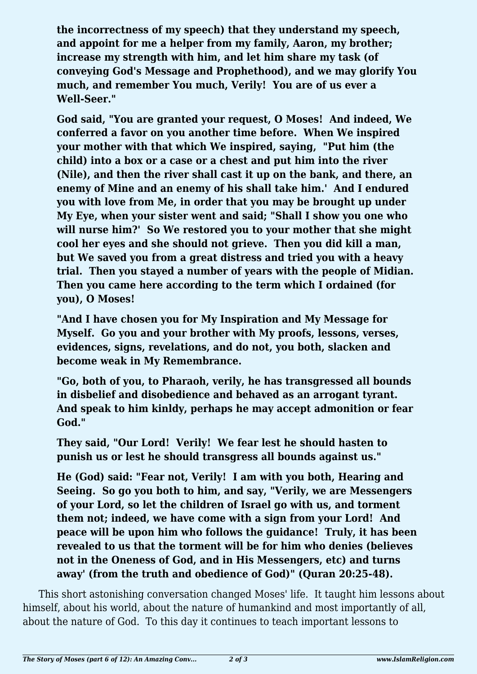**the incorrectness of my speech) that they understand my speech, and appoint for me a helper from my family, Aaron, my brother; increase my strength with him, and let him share my task (of conveying God's Message and Prophethood), and we may glorify You much, and remember You much, Verily! You are of us ever a Well-Seer."**

**God said, "You are granted your request, O Moses! And indeed, We conferred a favor on you another time before. When We inspired your mother with that which We inspired, saying, "Put him (the child) into a box or a case or a chest and put him into the river (Nile), and then the river shall cast it up on the bank, and there, an enemy of Mine and an enemy of his shall take him.' And I endured you with love from Me, in order that you may be brought up under My Eye, when your sister went and said; "Shall I show you one who will nurse him?' So We restored you to your mother that she might cool her eyes and she should not grieve. Then you did kill a man, but We saved you from a great distress and tried you with a heavy trial. Then you stayed a number of years with the people of Midian. Then you came here according to the term which I ordained (for you), O Moses!**

**"And I have chosen you for My Inspiration and My Message for Myself. Go you and your brother with My proofs, lessons, verses, evidences, signs, revelations, and do not, you both, slacken and become weak in My Remembrance.**

**"Go, both of you, to Pharaoh, verily, he has transgressed all bounds in disbelief and disobedience and behaved as an arrogant tyrant. And speak to him kinldy, perhaps he may accept admonition or fear God."**

**They said, "Our Lord! Verily! We fear lest he should hasten to punish us or lest he should transgress all bounds against us."**

**He (God) said: "Fear not, Verily! I am with you both, Hearing and Seeing. So go you both to him, and say, "Verily, we are Messengers of your Lord, so let the children of Israel go with us, and torment them not; indeed, we have come with a sign from your Lord! And peace will be upon him who follows the guidance! Truly, it has been revealed to us that the torment will be for him who denies (believes not in the Oneness of God, and in His Messengers, etc) and turns away' (from the truth and obedience of God)" (Quran 20:25-48).**

This short astonishing conversation changed Moses' life. It taught him lessons about himself, about his world, about the nature of humankind and most importantly of all, about the nature of God. To this day it continues to teach important lessons to